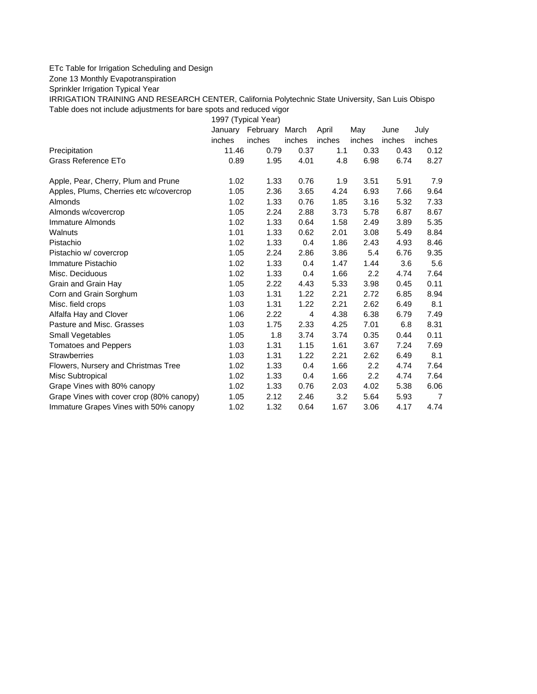## ETc Table for Irrigation Scheduling and Design

Zone 13 Monthly Evapotranspiration

Sprinkler Irrigation Typical Year

IRRIGATION TRAINING AND RESEARCH CENTER, California Polytechnic State University, San Luis Obispo Table does not include adjustments for bare spots and reduced vigor

1997 (Typical Year)

|                                          |        | January February March |                | April  | May              | June   | July           |
|------------------------------------------|--------|------------------------|----------------|--------|------------------|--------|----------------|
|                                          | inches | inches                 | inches         | inches | inches           | inches | inches         |
| Precipitation                            | 11.46  | 0.79                   | 0.37           | 1.1    | 0.33             | 0.43   | 0.12           |
| Grass Reference ETo                      | 0.89   | 1.95                   | 4.01           | 4.8    | 6.98             | 6.74   | 8.27           |
| Apple, Pear, Cherry, Plum and Prune      | 1.02   | 1.33                   | 0.76           | 1.9    | 3.51             | 5.91   | 7.9            |
| Apples, Plums, Cherries etc w/covercrop  | 1.05   | 2.36                   | 3.65           | 4.24   | 6.93             | 7.66   | 9.64           |
| Almonds                                  | 1.02   | 1.33                   | 0.76           | 1.85   | 3.16             | 5.32   | 7.33           |
| Almonds w/covercrop                      | 1.05   | 2.24                   | 2.88           | 3.73   | 5.78             | 6.87   | 8.67           |
| Immature Almonds                         | 1.02   | 1.33                   | 0.64           | 1.58   | 2.49             | 3.89   | 5.35           |
| Walnuts                                  | 1.01   | 1.33                   | 0.62           | 2.01   | 3.08             | 5.49   | 8.84           |
| Pistachio                                | 1.02   | 1.33                   | 0.4            | 1.86   | 2.43             | 4.93   | 8.46           |
| Pistachio w/ covercrop                   | 1.05   | 2.24                   | 2.86           | 3.86   | 5.4              | 6.76   | 9.35           |
| Immature Pistachio                       | 1.02   | 1.33                   | 0.4            | 1.47   | 1.44             | 3.6    | 5.6            |
| Misc. Deciduous                          | 1.02   | 1.33                   | 0.4            | 1.66   | 2.2              | 4.74   | 7.64           |
| Grain and Grain Hay                      | 1.05   | 2.22                   | 4.43           | 5.33   | 3.98             | 0.45   | 0.11           |
| Corn and Grain Sorghum                   | 1.03   | 1.31                   | 1.22           | 2.21   | 2.72             | 6.85   | 8.94           |
| Misc. field crops                        | 1.03   | 1.31                   | 1.22           | 2.21   | 2.62             | 6.49   | 8.1            |
| Alfalfa Hay and Clover                   | 1.06   | 2.22                   | $\overline{4}$ | 4.38   | 6.38             | 6.79   | 7.49           |
| Pasture and Misc. Grasses                | 1.03   | 1.75                   | 2.33           | 4.25   | 7.01             | 6.8    | 8.31           |
| Small Vegetables                         | 1.05   | 1.8                    | 3.74           | 3.74   | 0.35             | 0.44   | 0.11           |
| <b>Tomatoes and Peppers</b>              | 1.03   | 1.31                   | 1.15           | 1.61   | 3.67             | 7.24   | 7.69           |
| <b>Strawberries</b>                      | 1.03   | 1.31                   | 1.22           | 2.21   | 2.62             | 6.49   | 8.1            |
| Flowers, Nursery and Christmas Tree      | 1.02   | 1.33                   | 0.4            | 1.66   | 2.2              | 4.74   | 7.64           |
| Misc Subtropical                         | 1.02   | 1.33                   | 0.4            | 1.66   | $2.2\phantom{0}$ | 4.74   | 7.64           |
| Grape Vines with 80% canopy              | 1.02   | 1.33                   | 0.76           | 2.03   | 4.02             | 5.38   | 6.06           |
| Grape Vines with cover crop (80% canopy) | 1.05   | 2.12                   | 2.46           | 3.2    | 5.64             | 5.93   | $\overline{7}$ |
| Immature Grapes Vines with 50% canopy    | 1.02   | 1.32                   | 0.64           | 1.67   | 3.06             | 4.17   | 4.74           |